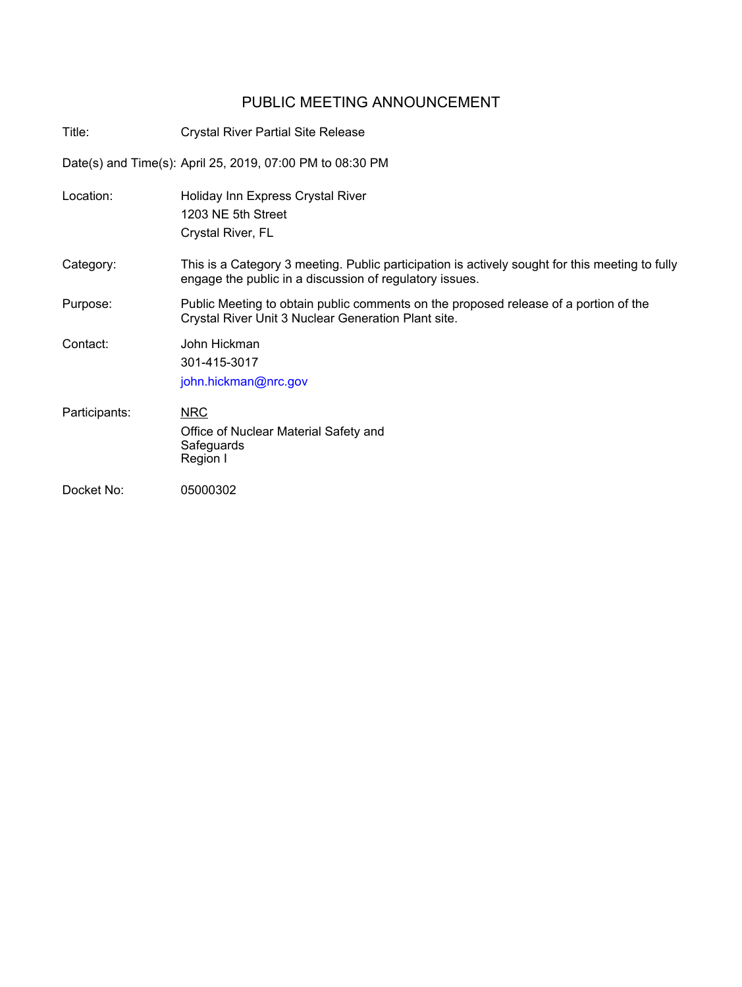## PUBLIC MEETING ANNOUNCEMENT

| Title:        | <b>Crystal River Partial Site Release</b>                                                                                                                  |
|---------------|------------------------------------------------------------------------------------------------------------------------------------------------------------|
|               | Date(s) and Time(s): April 25, 2019, 07:00 PM to 08:30 PM                                                                                                  |
| Location:     | Holiday Inn Express Crystal River<br>1203 NE 5th Street<br>Crystal River, FL                                                                               |
| Category:     | This is a Category 3 meeting. Public participation is actively sought for this meeting to fully<br>engage the public in a discussion of regulatory issues. |
| Purpose:      | Public Meeting to obtain public comments on the proposed release of a portion of the<br>Crystal River Unit 3 Nuclear Generation Plant site.                |
| Contact:      | John Hickman<br>301-415-3017<br>john.hickman@nrc.gov                                                                                                       |
| Participants: | <b>NRC</b><br>Office of Nuclear Material Safety and<br>Safeguards<br>Region I                                                                              |
| Docket No:    | 05000302                                                                                                                                                   |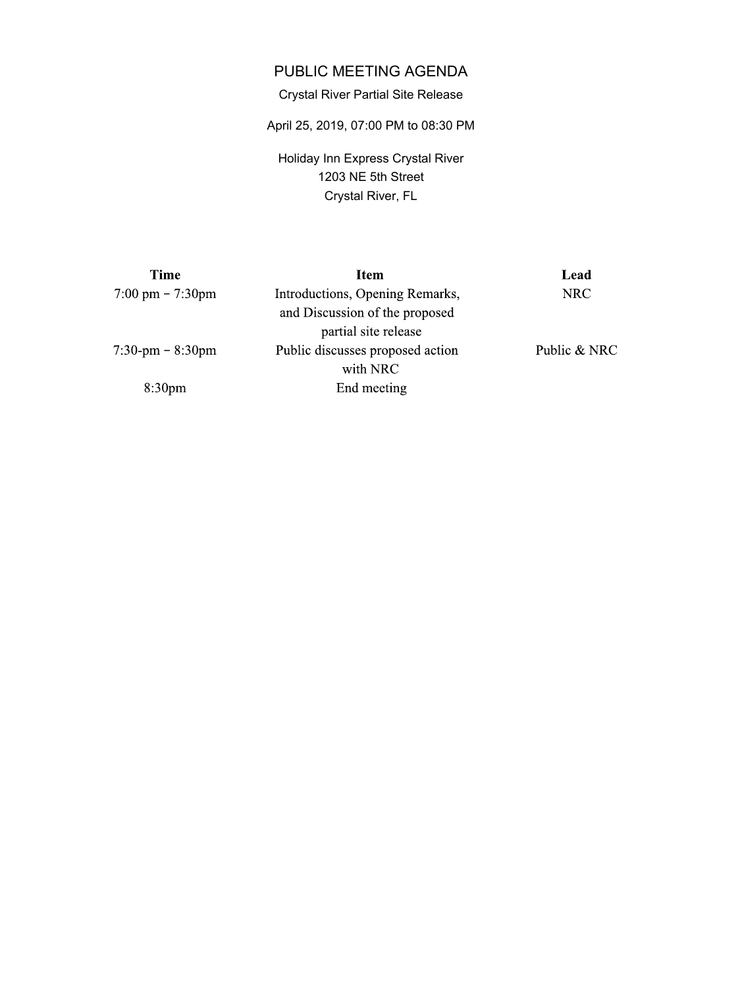## PUBLIC MEETING AGENDA

## Crystal River Partial Site Release

April 25, 2019, 07:00 PM to 08:30 PM

Holiday Inn Express Crystal River 1203 NE 5th Street Crystal River, FL

| Item                             | Lead         |
|----------------------------------|--------------|
| Introductions, Opening Remarks,  | <b>NRC</b>   |
| and Discussion of the proposed   |              |
| partial site release             |              |
| Public discusses proposed action | Public & NRC |
| with NRC                         |              |
| End meeting                      |              |
|                                  |              |